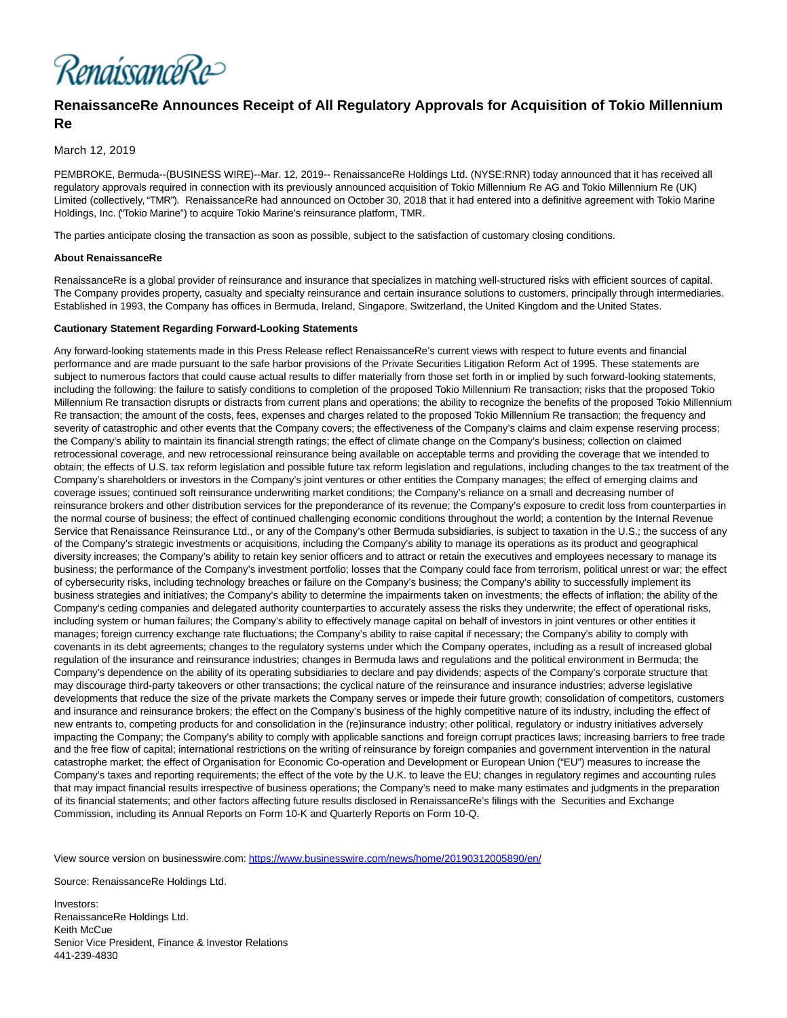

## **RenaissanceRe Announces Receipt of All Regulatory Approvals for Acquisition of Tokio Millennium Re**

## March 12, 2019

PEMBROKE, Bermuda--(BUSINESS WIRE)--Mar. 12, 2019-- RenaissanceRe Holdings Ltd. (NYSE:RNR) today announced that it has received all regulatory approvals required in connection with its previously announced acquisition of Tokio Millennium Re AG and Tokio Millennium Re (UK) Limited (collectively, "TMR"). RenaissanceRe had announced on October 30, 2018 that it had entered into a definitive agreement with Tokio Marine Holdings, Inc. ("Tokio Marine") to acquire Tokio Marine's reinsurance platform, TMR.

The parties anticipate closing the transaction as soon as possible, subject to the satisfaction of customary closing conditions.

## **About RenaissanceRe**

RenaissanceRe is a global provider of reinsurance and insurance that specializes in matching well-structured risks with efficient sources of capital. The Company provides property, casualty and specialty reinsurance and certain insurance solutions to customers, principally through intermediaries. Established in 1993, the Company has offices in Bermuda, Ireland, Singapore, Switzerland, the United Kingdom and the United States.

## **Cautionary Statement Regarding Forward-Looking Statements**

Any forward-looking statements made in this Press Release reflect RenaissanceRe's current views with respect to future events and financial performance and are made pursuant to the safe harbor provisions of the Private Securities Litigation Reform Act of 1995. These statements are subject to numerous factors that could cause actual results to differ materially from those set forth in or implied by such forward-looking statements, including the following: the failure to satisfy conditions to completion of the proposed Tokio Millennium Re transaction; risks that the proposed Tokio Millennium Re transaction disrupts or distracts from current plans and operations; the ability to recognize the benefits of the proposed Tokio Millennium Re transaction; the amount of the costs, fees, expenses and charges related to the proposed Tokio Millennium Re transaction; the frequency and severity of catastrophic and other events that the Company covers; the effectiveness of the Company's claims and claim expense reserving process; the Company's ability to maintain its financial strength ratings; the effect of climate change on the Company's business; collection on claimed retrocessional coverage, and new retrocessional reinsurance being available on acceptable terms and providing the coverage that we intended to obtain; the effects of U.S. tax reform legislation and possible future tax reform legislation and regulations, including changes to the tax treatment of the Company's shareholders or investors in the Company's joint ventures or other entities the Company manages; the effect of emerging claims and coverage issues; continued soft reinsurance underwriting market conditions; the Company's reliance on a small and decreasing number of reinsurance brokers and other distribution services for the preponderance of its revenue; the Company's exposure to credit loss from counterparties in the normal course of business; the effect of continued challenging economic conditions throughout the world; a contention by the Internal Revenue Service that Renaissance Reinsurance Ltd., or any of the Company's other Bermuda subsidiaries, is subject to taxation in the U.S.; the success of any of the Company's strategic investments or acquisitions, including the Company's ability to manage its operations as its product and geographical diversity increases; the Company's ability to retain key senior officers and to attract or retain the executives and employees necessary to manage its business; the performance of the Company's investment portfolio; losses that the Company could face from terrorism, political unrest or war; the effect of cybersecurity risks, including technology breaches or failure on the Company's business; the Company's ability to successfully implement its business strategies and initiatives; the Company's ability to determine the impairments taken on investments; the effects of inflation; the ability of the Company's ceding companies and delegated authority counterparties to accurately assess the risks they underwrite; the effect of operational risks, including system or human failures; the Company's ability to effectively manage capital on behalf of investors in joint ventures or other entities it manages; foreign currency exchange rate fluctuations; the Company's ability to raise capital if necessary; the Company's ability to comply with covenants in its debt agreements; changes to the regulatory systems under which the Company operates, including as a result of increased global regulation of the insurance and reinsurance industries; changes in Bermuda laws and regulations and the political environment in Bermuda; the Company's dependence on the ability of its operating subsidiaries to declare and pay dividends; aspects of the Company's corporate structure that may discourage third-party takeovers or other transactions; the cyclical nature of the reinsurance and insurance industries; adverse legislative developments that reduce the size of the private markets the Company serves or impede their future growth; consolidation of competitors, customers and insurance and reinsurance brokers; the effect on the Company's business of the highly competitive nature of its industry, including the effect of new entrants to, competing products for and consolidation in the (re)insurance industry; other political, regulatory or industry initiatives adversely impacting the Company; the Company's ability to comply with applicable sanctions and foreign corrupt practices laws; increasing barriers to free trade and the free flow of capital; international restrictions on the writing of reinsurance by foreign companies and government intervention in the natural catastrophe market; the effect of Organisation for Economic Co-operation and Development or European Union ("EU") measures to increase the Company's taxes and reporting requirements; the effect of the vote by the U.K. to leave the EU; changes in regulatory regimes and accounting rules that may impact financial results irrespective of business operations; the Company's need to make many estimates and judgments in the preparation of its financial statements; and other factors affecting future results disclosed in RenaissanceRe's filings with the Securities and Exchange Commission, including its Annual Reports on Form 10-K and Quarterly Reports on Form 10-Q.

View source version on businesswire.com:<https://www.businesswire.com/news/home/20190312005890/en/>

Source: RenaissanceRe Holdings Ltd.

Investors: RenaissanceRe Holdings Ltd. Keith McCue Senior Vice President, Finance & Investor Relations 441-239-4830